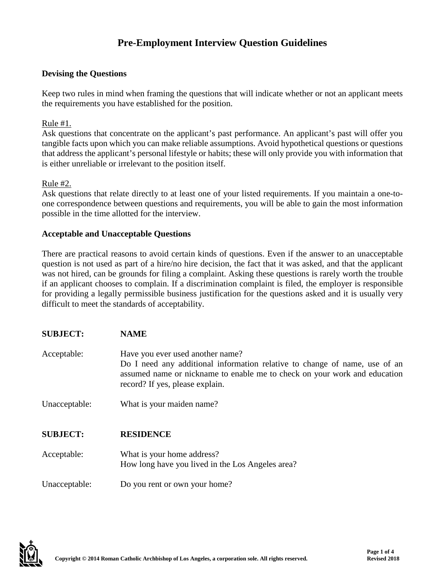# **Pre-Employment Interview Question Guidelines**

## **Devising the Questions**

Keep two rules in mind when framing the questions that will indicate whether or not an applicant meets the requirements you have established for the position.

Rule #1.

Ask questions that concentrate on the applicant's past performance. An applicant's past will offer you tangible facts upon which you can make reliable assumptions. Avoid hypothetical questions or questions that address the applicant's personal lifestyle or habits; these will only provide you with information that is either unreliable or irrelevant to the position itself.

#### Rule #2.

Ask questions that relate directly to at least one of your listed requirements. If you maintain a one-toone correspondence between questions and requirements, you will be able to gain the most information possible in the time allotted for the interview.

#### **Acceptable and Unacceptable Questions**

There are practical reasons to avoid certain kinds of questions. Even if the answer to an unacceptable question is not used as part of a hire/no hire decision, the fact that it was asked, and that the applicant was not hired, can be grounds for filing a complaint. Asking these questions is rarely worth the trouble if an applicant chooses to complain. If a discrimination complaint is filed, the employer is responsible for providing a legally permissible business justification for the questions asked and it is usually very difficult to meet the standards of acceptability.

| <b>SUBJECT:</b> | <b>NAME</b>                                                                                                                                                                                                                    |
|-----------------|--------------------------------------------------------------------------------------------------------------------------------------------------------------------------------------------------------------------------------|
| Acceptable:     | Have you ever used another name?<br>Do I need any additional information relative to change of name, use of an<br>assumed name or nickname to enable me to check on your work and education<br>record? If yes, please explain. |
| Unacceptable:   | What is your maiden name?                                                                                                                                                                                                      |
| <b>SUBJECT:</b> | <b>RESIDENCE</b>                                                                                                                                                                                                               |
| Acceptable:     | What is your home address?<br>How long have you lived in the Los Angeles area?                                                                                                                                                 |
| Unacceptable:   | Do you rent or own your home?                                                                                                                                                                                                  |

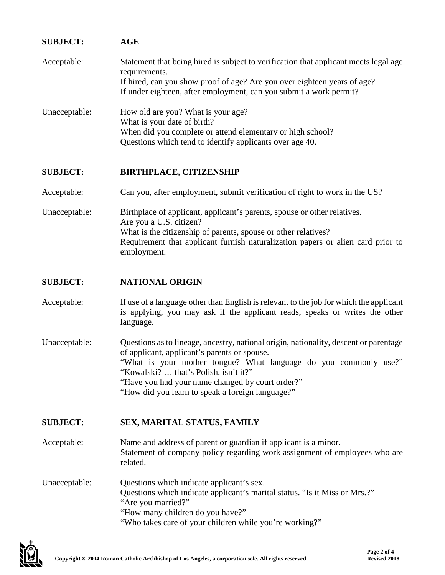| <b>SUBJECT:</b> | <b>AGE</b>                                                                                                                                                                                                                                                                                                                                                 |
|-----------------|------------------------------------------------------------------------------------------------------------------------------------------------------------------------------------------------------------------------------------------------------------------------------------------------------------------------------------------------------------|
| Acceptable:     | Statement that being hired is subject to verification that applicant meets legal age<br>requirements.<br>If hired, can you show proof of age? Are you over eighteen years of age?<br>If under eighteen, after employment, can you submit a work permit?                                                                                                    |
| Unacceptable:   | How old are you? What is your age?<br>What is your date of birth?<br>When did you complete or attend elementary or high school?<br>Questions which tend to identify applicants over age 40.                                                                                                                                                                |
| <b>SUBJECT:</b> | <b>BIRTHPLACE, CITIZENSHIP</b>                                                                                                                                                                                                                                                                                                                             |
| Acceptable:     | Can you, after employment, submit verification of right to work in the US?                                                                                                                                                                                                                                                                                 |
| Unacceptable:   | Birthplace of applicant, applicant's parents, spouse or other relatives.<br>Are you a U.S. citizen?<br>What is the citizenship of parents, spouse or other relatives?<br>Requirement that applicant furnish naturalization papers or alien card prior to<br>employment.                                                                                    |
| <b>SUBJECT:</b> | <b>NATIONAL ORIGIN</b>                                                                                                                                                                                                                                                                                                                                     |
| Acceptable:     | If use of a language other than English is relevant to the job for which the applicant<br>is applying, you may ask if the applicant reads, speaks or writes the other<br>language.                                                                                                                                                                         |
| Unacceptable:   | Questions as to lineage, ancestry, national origin, nationality, descent or parentage<br>of applicant, applicant's parents or spouse.<br>"What is your mother tongue? What language do you commonly use?"<br>"Kowalski?  that's Polish, isn't it?"<br>"Have you had your name changed by court order?"<br>"How did you learn to speak a foreign language?" |
| <b>SUBJECT:</b> | SEX, MARITAL STATUS, FAMILY                                                                                                                                                                                                                                                                                                                                |
| Acceptable:     | Name and address of parent or guardian if applicant is a minor.<br>Statement of company policy regarding work assignment of employees who are<br>related.                                                                                                                                                                                                  |
| Unacceptable:   | Questions which indicate applicant's sex.<br>Questions which indicate applicant's marital status. "Is it Miss or Mrs.?"<br>"Are you married?"<br>"How many children do you have?"<br>"Who takes care of your children while you're working?"                                                                                                               |

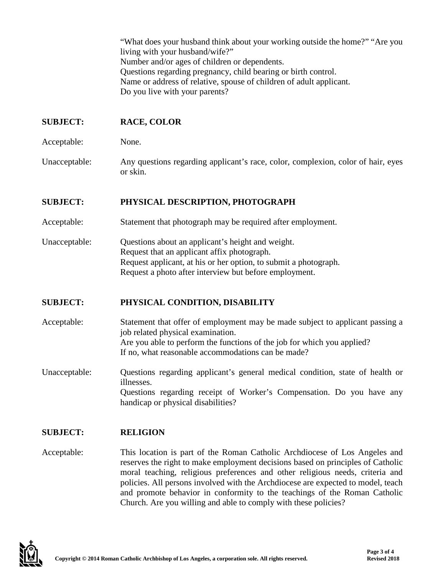"What does your husband think about your working outside the home?" "Are you living with your husband/wife?" Number and/or ages of children or dependents. Questions regarding pregnancy, child bearing or birth control. Name or address of relative, spouse of children of adult applicant. Do you live with your parents?

# **SUBJECT: RACE, COLOR**

Acceptable: None.

Unacceptable: Any questions regarding applicant's race, color, complexion, color of hair, eyes or skin.

## **SUBJECT: PHYSICAL DESCRIPTION, PHOTOGRAPH**

- Acceptable: Statement that photograph may be required after employment.
- Unacceptable: Questions about an applicant's height and weight. Request that an applicant affix photograph. Request applicant, at his or her option, to submit a photograph. Request a photo after interview but before employment.

## **SUBJECT: PHYSICAL CONDITION, DISABILITY**

- Acceptable: Statement that offer of employment may be made subject to applicant passing a job related physical examination. Are you able to perform the functions of the job for which you applied? If no, what reasonable accommodations can be made?
- Unacceptable: Questions regarding applicant's general medical condition, state of health or illnesses. Questions regarding receipt of Worker's Compensation. Do you have any handicap or physical disabilities?

## **SUBJECT: RELIGION**

Acceptable: This location is part of the Roman Catholic Archdiocese of Los Angeles and reserves the right to make employment decisions based on principles of Catholic moral teaching, religious preferences and other religious needs, criteria and policies. All persons involved with the Archdiocese are expected to model, teach and promote behavior in conformity to the teachings of the Roman Catholic Church. Are you willing and able to comply with these policies?